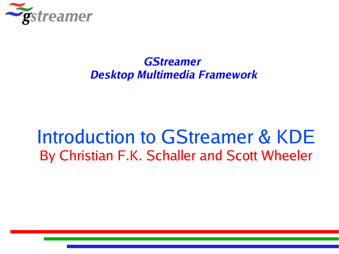

#### **GStreamer Desktop Multimedia Framework**

#### Introduction to GStreamer & KDE By Christian F.K. Schaller and Scott Wheeler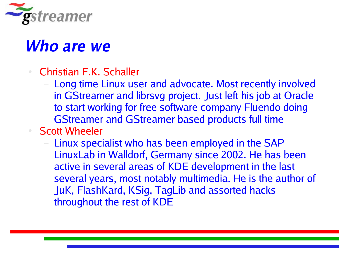

#### **Who are we**

- Christian F.K. Schaller
	- Long time Linux user and advocate. Most recently involved in GStreamer and librsvg project. Just left his job at Oracle to start working for free software company Fluendo doing GStreamer and GStreamer based products full time
- **Scott Wheeler** 
	- Linux specialist who has been employed in the SAP LinuxLab in Walldorf, Germany since 2002. He has been active in several areas of KDE development in the last several years, most notably multimedia. He is the author of JuK, FlashKard, KSig, TagLib and assorted hacks throughout the rest of KDE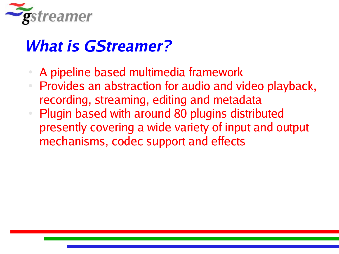

#### **What is GStreamer?**

- A pipeline based multimedia framework
- Provides an abstraction for audio and video playback, recording, streaming, editing and metadata
- Plugin based with around 80 plugins distributed presently covering a wide variety of input and output mechanisms, codec support and effects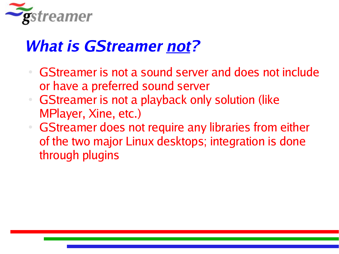

#### **What is GStreamer not?**

- GStreamer is not a sound server and does not include or have a preferred sound server
- **GStreamer is not a playback only solution (like** MPlayer, Xine, etc.)
- **GStreamer does not require any libraries from either** of the two major Linux desktops; integration is done through plugins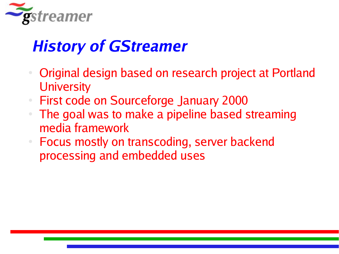

#### **History of GStreamer**

- Original design based on research project at Portland **University**
- **First code on Sourceforge January 2000**
- The goal was to make a pipeline based streaming media framework
- Focus mostly on transcoding, server backend processing and embedded uses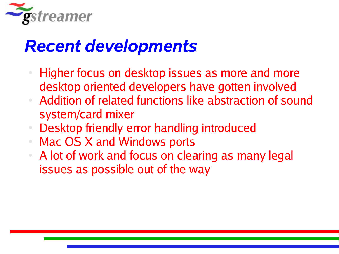

## *Recent developments*

- Higher focus on desktop issues as more and more desktop oriented developers have gotten involved
- Addition of related functions like abstraction of sound system/card mixer
- Desktop friendly error handling introduced
- Mac OS X and Windows ports
- A lot of work and focus on clearing as many legal issues as possible out of the way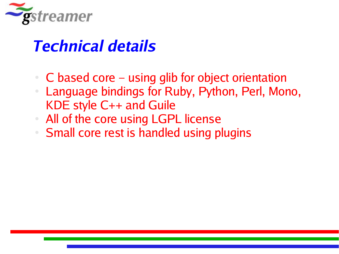

#### **Technical details**

- $C$  based core using glib for object orientation
- Language bindings for Ruby, Python, Perl, Mono, KDE style C++ and Guile
- All of the core using LGPL license
- **Small core rest is handled using plugins**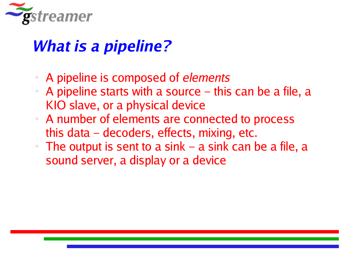

#### **What is a pipeline?**

- A pipeline is composed of elements
- A pipeline starts with a source this can be a file, a KIO slave, or a physical device
- A number of elements are connected to process this data – decoders, effects, mixing, etc.
- The output is sent to a sink a sink can be a file, a sound server, a display or a device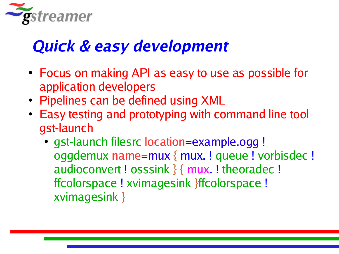

#### **Quick & easy development**

- Focus on making API as easy to use as possible for application developers
- Pipelines can be defined using XML
- Easy testing and prototyping with command line tool gst-launch
	- gst-launch filesrc location=example.ogg ! oggdemux name=mux { mux. ! queue ! vorbisdec ! audioconvert ! osssink } { mux. ! theoradec ! ffcolorspace ! xvimagesink }ffcolorspace ! xvimagesink }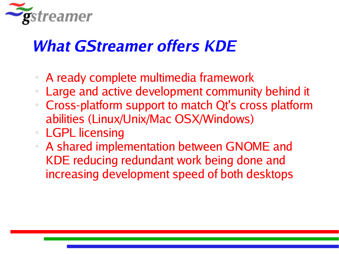

#### **What GStreamer offers KDE**

- A ready complete multimedia framework
- Large and active development community behind it
- Cross-platform support to match Qt's cross platform abilities (Linux/Unix/Mac OSX/Windows)
- **LGPL licensing**
- A shared implementation between GNOME and KDE reducing redundant work being done and increasing development speed of both desktops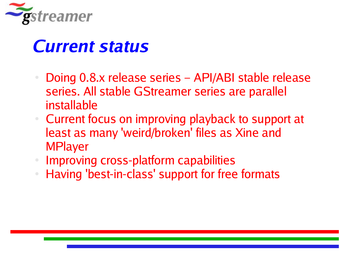

#### **Current status**

- Doing 0.8.x release series API/ABI stable release series. All stable GStreamer series are parallel installable
- Current focus on improving playback to support at least as many 'weird/broken' files as Xine and MPlayer
- Improving cross-platform capabilities
- Having 'best-in-class' support for free formats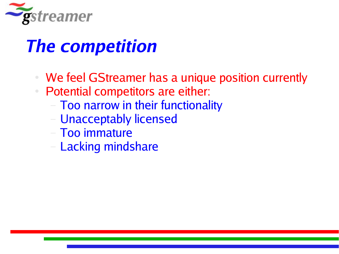

# **The competition**

- We feel GStreamer has a unique position currently
- Potential competitors are either:
	- Too narrow in their functionality
	- Unacceptably licensed
	- Too immature
	- Lacking mindshare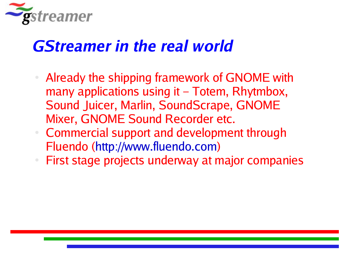

#### **GStreamer in the real world**

- Already the shipping framework of GNOME with many applications using it – Totem, Rhytmbox, Sound Juicer, Marlin, SoundScrape, GNOME Mixer, GNOME Sound Recorder etc.
- Commercial support and development through Fluendo (http://www.fluendo.com)
- First stage projects underway at major companies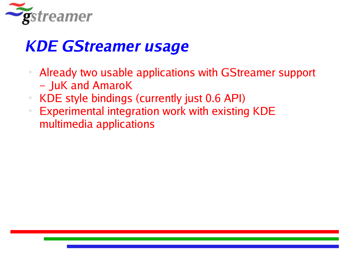

#### **KDE GStreamer usage**

- Already two usable applications with GStreamer support – JuK and AmaroK
- KDE style bindings (currently just 0.6 API)
- **Experimental integration work with existing KDE** multimedia applications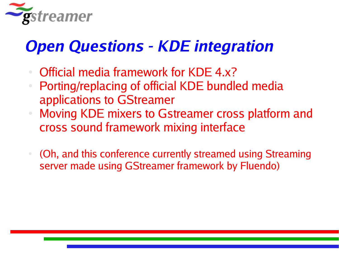

## **Open Questions - KDE integration**

- Official media framework for KDE 4.x?
- Porting/replacing of official KDE bundled media applications to GStreamer
- Moving KDE mixers to Gstreamer cross platform and cross sound framework mixing interface
- (Oh, and this conference currently streamed using Streaming server made using GStreamer framework by Fluendo)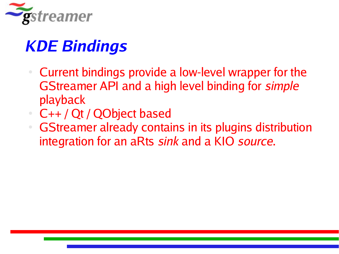

## **KDE Bindings**

- Current bindings provide a low-level wrapper for the GStreamer API and a high level binding for simple playback
- C++ / Qt / QObject based
- GStreamer already contains in its plugins distribution integration for an aRts sink and a KIO source.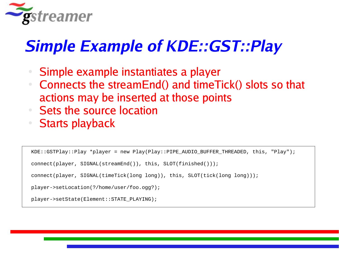

#### **Simple Example of KDE::GST::Play**

- Simple example instantiates a player
- Connects the streamEnd() and timeTick() slots so that actions may be inserted at those points
- Sets the source location
- Starts playback

```
KDE::GSTPlay::Play *player = new Play(Play::PIPE AUDIO BUFFER THREADED, this, "Play");
connect(player, SIGNAL(streamEnd()), this, SLOT(finished()));
connect(player, SIGNAL(timeTick(long long)), this, SLOT(tick(long long)));
player->setLocation(?/home/user/foo.ogg?);
player->setState(Element::STATE_PLAYING);
```